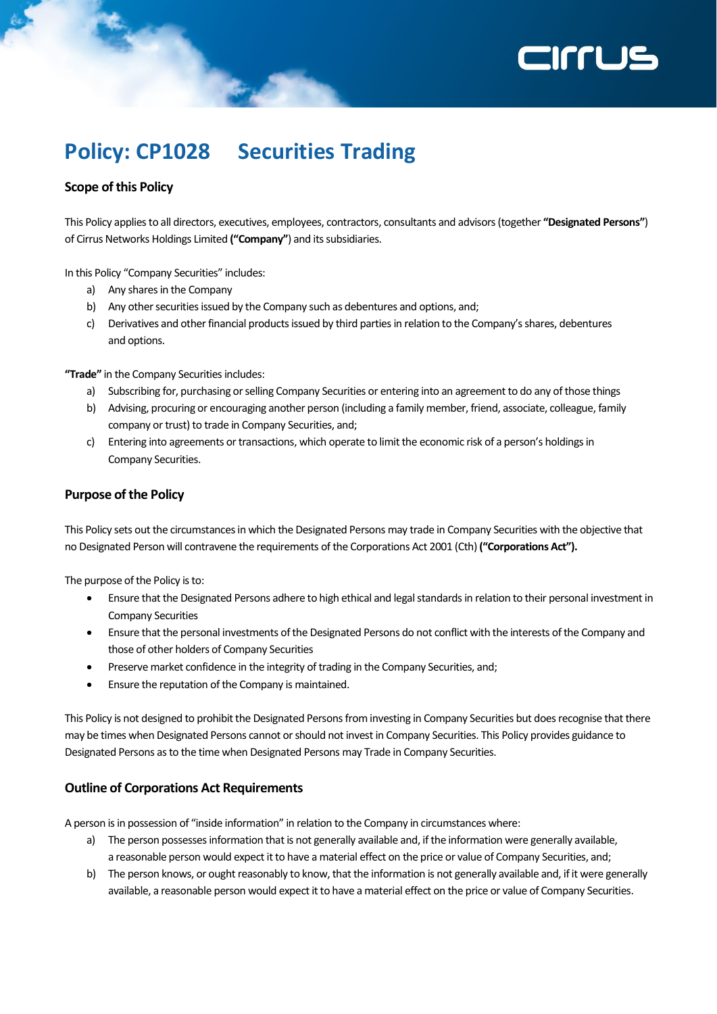# **ZILLIS**

### **Policy: CP1028 Securities Trading**

#### **Scope of this Policy**

This Policy applies to all directors, executives, employees, contractors, consultants and advisors (together **"Designated Persons"**) of Cirrus Networks Holdings Limited **("Company"**) and its subsidiaries.

In this Policy "Company Securities" includes:

- a) Any shares in the Company
- b) Any other securities issued by the Company such as debentures and options, and;
- c) Derivatives and other financial products issued by third parties in relation to the Company's shares, debentures and options.

**"Trade"** in the Company Securities includes:

- a) Subscribing for, purchasing or selling Company Securities or entering into an agreement to do any of those things
- b) Advising, procuring or encouraging another person (including a family member, friend, associate, colleague, family company or trust) to trade in Company Securities, and;
- c) Entering into agreements or transactions, which operate to limit the economic risk of a person's holdings in Company Securities.

#### **Purpose of the Policy**

This Policy sets out the circumstances in which the Designated Persons may trade in Company Securities with the objective that no Designated Person will contravene the requirements of the Corporations Act 2001 (Cth) **("Corporations Act").**

The purpose of the Policy is to:

- Ensure that the Designated Persons adhere to high ethical and legal standards in relation to their personal investment in Company Securities
- Ensure that the personal investments of the Designated Persons do not conflict with the interests of the Company and those of other holders of Company Securities
- Preserve market confidence in the integrity of trading in the Company Securities, and;
- Ensure the reputation of the Company is maintained.

This Policy is not designed to prohibit the Designated Persons from investing in Company Securities but does recognise that there may be times when Designated Persons cannot or should not invest in Company Securities. This Policy provides guidance to Designated Persons as to the time when Designated Persons may Trade in Company Securities.

#### **Outline of Corporations Act Requirements**

A person is in possession of "inside information" in relation to the Company in circumstances where:

- a) The person possesses information that is not generally available and, if the information were generally available, a reasonable person would expect it to have a material effect on the price or value of Company Securities, and;
- b) The person knows, or ought reasonably to know, that the information is not generally available and, if it were generally available, a reasonable person would expect it to have a material effect on the price or value of Company Securities.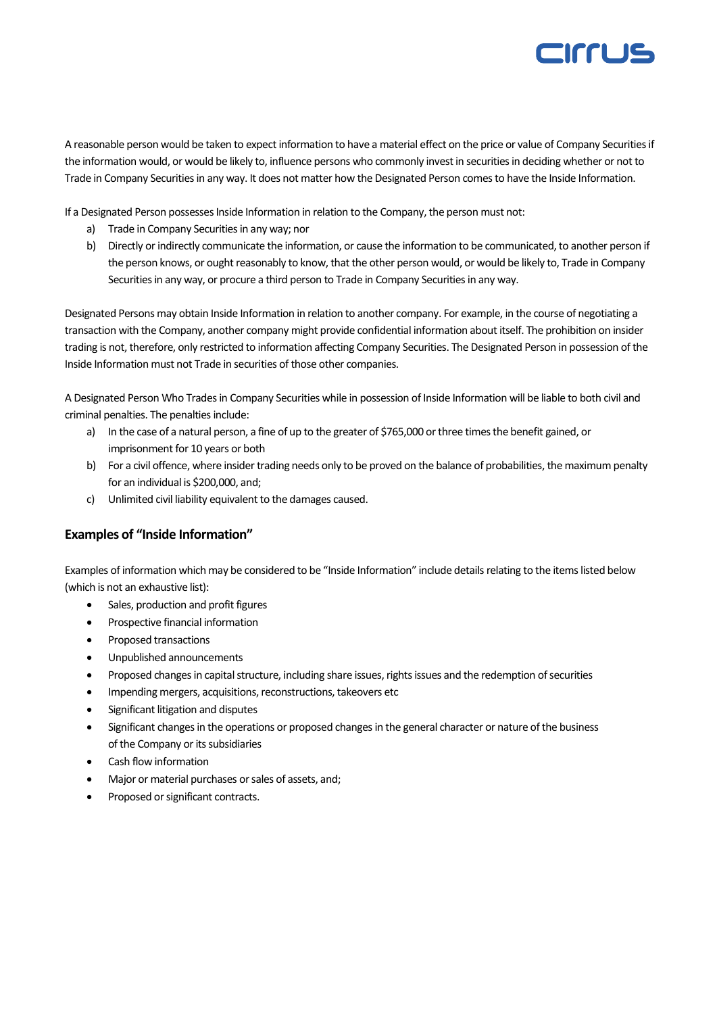

A reasonable person would be taken to expect information to have a material effect on the price or value of Company Securities if the information would, or would be likely to, influence persons who commonly invest in securities in deciding whether or not to Trade in Company Securities in any way. It does not matter how the Designated Person comes to have the Inside Information.

If a Designated Person possesses Inside Information in relation to the Company, the person must not:

- a) Trade in Company Securities in any way; nor
- b) Directly or indirectly communicate the information, or cause the information to be communicated, to another person if the person knows, or ought reasonably to know, that the other person would, or would be likely to, Trade in Company Securities in any way, or procure a third person to Trade in Company Securities in any way.

Designated Persons may obtain Inside Information in relation to another company. For example, in the course of negotiating a transaction with the Company, another company might provide confidential information about itself. The prohibition on insider trading is not, therefore, only restricted to information affecting Company Securities. The Designated Person in possession of the Inside Information must not Trade in securities of those other companies.

A Designated Person Who Trades in Company Securities while in possession of Inside Information will be liable to both civil and criminal penalties. The penalties include:

- a) In the case of a natural person, a fine of up to the greater of \$765,000 or three times the benefit gained, or imprisonment for 10 years or both
- b) For a civil offence, where insider trading needs only to be proved on the balance of probabilities, the maximum penalty for an individual is \$200,000, and;
- c) Unlimited civil liability equivalent to the damages caused.

#### **Examples of "Inside Information"**

Examples of information which may be considered to be "Inside Information" include details relating to the items listed below (which is not an exhaustive list):

- Sales, production and profit figures
- Prospective financial information
- Proposed transactions
- Unpublished announcements
- Proposed changes in capital structure, including share issues, rights issues and the redemption of securities
- Impending mergers, acquisitions, reconstructions, takeovers etc
- Significant litigation and disputes
- Significant changes in the operations or proposed changes in the general character or nature of the business of the Company or its subsidiaries
- Cash flow information
- Major or material purchases or sales of assets, and;
- Proposed or significant contracts.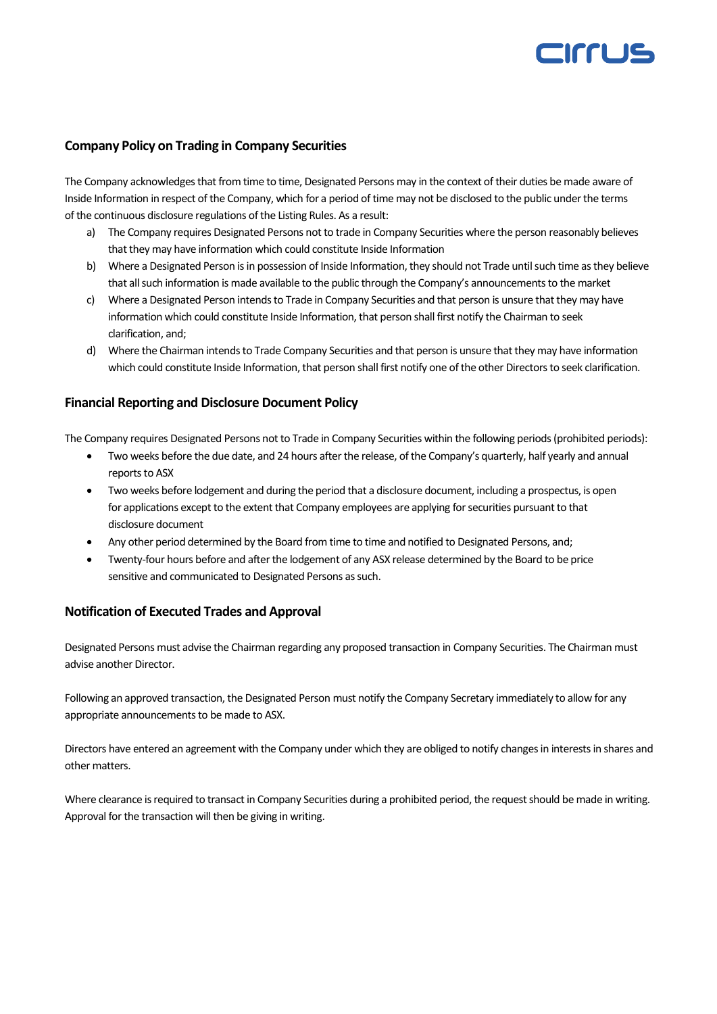## CIFFLIS

#### **Company Policy on Trading in Company Securities**

The Company acknowledges that from time to time, Designated Persons may in the context of their duties be made aware of Inside Information in respect of the Company, which for a period of time may not be disclosed to the public under the terms of the continuous disclosure regulations of the Listing Rules. As a result:

- a) The Company requires Designated Persons not to trade in Company Securities where the person reasonably believes that they may have information which could constitute Inside Information
- b) Where a Designated Person is in possession of Inside Information, they should not Trade until such time as they believe that all such information is made available to the public through the Company's announcements to the market
- c) Where a Designated Person intends to Trade in Company Securities and that person is unsure that they may have information which could constitute Inside Information, that person shall first notify the Chairman to seek clarification, and;
- d) Where the Chairman intends to Trade Company Securities and that person is unsure that they may have information which could constitute Inside Information, that person shall first notify one of the other Directors to seek clarification.

#### **Financial Reporting and Disclosure Document Policy**

The Company requires Designated Persons not to Trade in Company Securities within the following periods (prohibited periods):

- Two weeks before the due date, and 24 hours after the release, of the Company's quarterly, half yearly and annual reports to ASX
- Two weeks before lodgement and during the period that a disclosure document, including a prospectus, is open for applications except to the extent that Company employees are applying for securities pursuant to that disclosure document
- Any other period determined by the Board from time to time and notified to Designated Persons, and;
- Twenty-four hours before and after the lodgement of any ASX release determined by the Board to be price sensitive and communicated to Designated Persons as such.

#### **Notification of Executed Trades and Approval**

Designated Persons must advise the Chairman regarding any proposed transaction in Company Securities. The Chairman must advise another Director.

Following an approved transaction, the Designated Person must notify the Company Secretary immediately to allow for any appropriate announcements to be made to ASX.

Directors have entered an agreement with the Company under which they are obliged to notify changes in interests in shares and other matters.

Where clearance is required to transact in Company Securities during a prohibited period, the request should be made in writing. Approval for the transaction will then be giving in writing.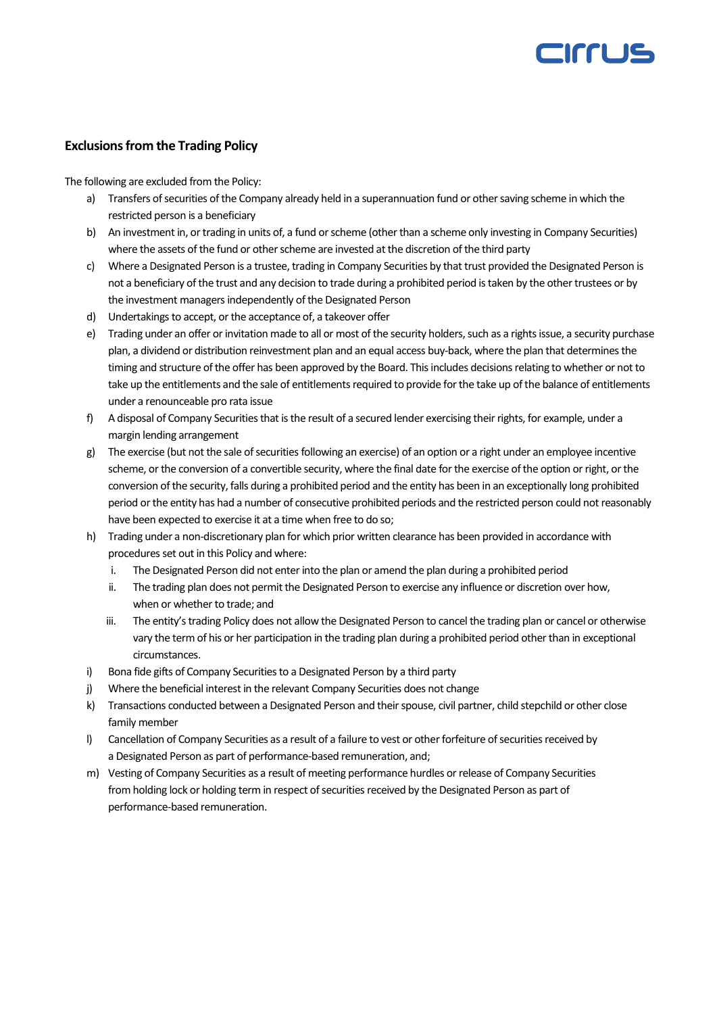## errus

#### **Exclusions from the Trading Policy**

The following are excluded from the Policy:

- a) Transfers of securities of the Company already held in a superannuation fund or other saving scheme in which the restricted person is a beneficiary
- b) An investment in, or trading in units of, a fund or scheme (other than a scheme only investing in Company Securities) where the assets of the fund or other scheme are invested at the discretion of the third party
- c) Where a Designated Person is a trustee, trading in Company Securities by that trust provided the Designated Person is not a beneficiary of the trust and any decision to trade during a prohibited period is taken by the other trustees or by the investment managers independently of the Designated Person
- d) Undertakings to accept, or the acceptance of, a takeover offer
- e) Trading under an offer or invitation made to all or most of the security holders, such as a rights issue, a security purchase plan, a dividend or distribution reinvestment plan and an equal access buy-back, where the plan that determines the timing and structure of the offer has been approved by the Board. This includes decisions relating to whether or not to take up the entitlements and the sale of entitlements required to provide for the take up of the balance of entitlements under a renounceable pro rata issue
- f) A disposal of Company Securities that is the result of a secured lender exercising their rights, for example, under a margin lending arrangement
- g) The exercise (but not the sale of securities following an exercise) of an option or a right under an employee incentive scheme, or the conversion of a convertible security, where the final date for the exercise of the option or right, or the conversion of the security, falls during a prohibited period and the entity has been in an exceptionally long prohibited period or the entity has had a number of consecutive prohibited periods and the restricted person could not reasonably have been expected to exercise it at a time when free to do so;
- h) Trading under a non-discretionary plan for which prior written clearance has been provided in accordance with procedures set out in this Policy and where:
	- i. The Designated Person did not enter into the plan or amend the plan during a prohibited period
	- ii. The trading plan does not permit the Designated Person to exercise any influence or discretion over how, when or whether to trade; and
	- iii. The entity's trading Policy does not allow the Designated Person to cancel the trading plan or cancel or otherwise vary the term of his or her participation in the trading plan during a prohibited period other than in exceptional circumstances.
- i) Bona fide gifts of Company Securities to a Designated Person by a third party
- j) Where the beneficial interest in the relevant Company Securities does not change
- k) Transactions conducted between a Designated Person and their spouse, civil partner, child stepchild or other close family member
- l) Cancellation of Company Securities as a result of a failure to vest or other forfeiture of securities received by a Designated Person as part of performance-based remuneration, and;
- m) Vesting of Company Securities as a result of meeting performance hurdles or release of Company Securities from holding lock or holding term in respect of securities received by the Designated Person as part of performance-based remuneration.